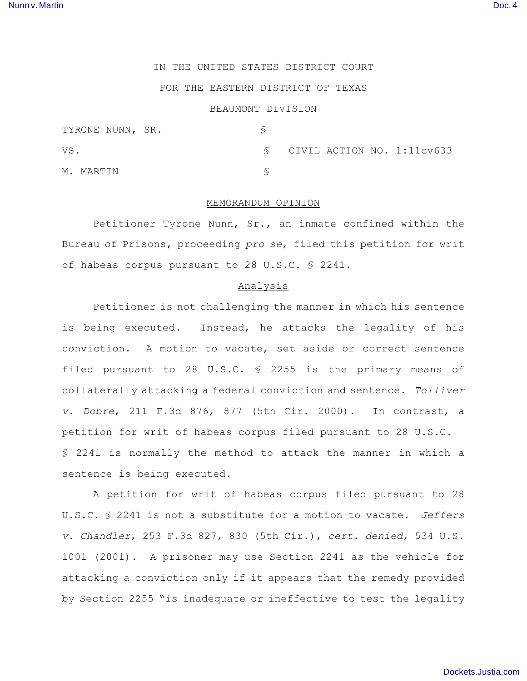# IN THE UNITED STATES DISTRICT COURT

# FOR THE EASTERN DISTRICT OF TEXAS

### BEAUMONT DIVISION

| TYRONE NUNN, SR. |                            |
|------------------|----------------------------|
| VS.              | CIVIL ACTION NO. 1:11cv633 |
| M. MARTIN        |                            |

### MEMORANDUM OPINION

Petitioner Tyrone Nunn, Sr., an inmate confined within the Bureau of Prisons, proceeding *pro se*, filed this petition for writ of habeas corpus pursuant to 28 U.S.C. § 2241.

### Analysis

Petitioner is not challenging the manner in which his sentence is being executed. Instead, he attacks the legality of his conviction. A motion to vacate, set aside or correct sentence filed pursuant to 28 U.S.C. § 2255 is the primary means of collaterally attacking a federal conviction and sentence. *Tolliver v. Dobre*, 211 F.3d 876, 877 (5th Cir. 2000). In contrast, a petition for writ of habeas corpus filed pursuant to 28 U.S.C. § 2241 is normally the method to attack the manner in which a sentence is being executed.

A petition for writ of habeas corpus filed pursuant to 28 U.S.C. § 2241 is not a substitute for a motion to vacate. *Jeffers v. Chandler*, 253 F.3d 827, 830 (5th Cir.), *cert. denied*, 534 U.S. 1001 (2001). A prisoner may use Section 2241 as the vehicle for attacking a conviction only if it appears that the remedy provided by Section 2255 "is inadequate or ineffective to test the legality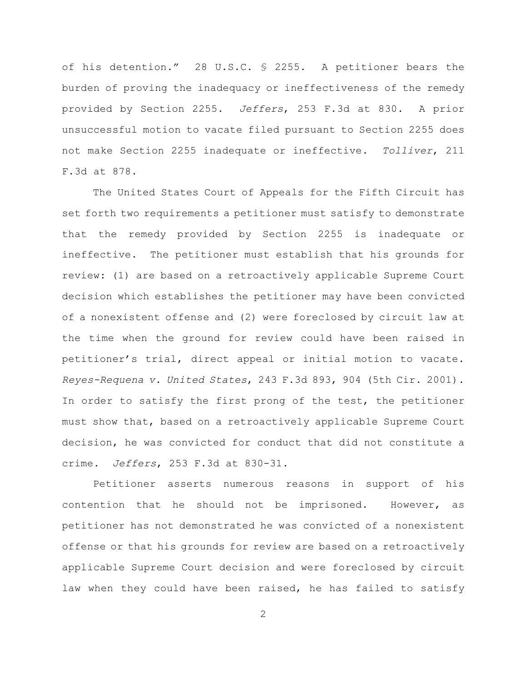of his detention." 28 U.S.C. § 2255. A petitioner bears the burden of proving the inadequacy or ineffectiveness of the remedy provided by Section 2255. *Jeffers*, 253 F.3d at 830. A prior unsuccessful motion to vacate filed pursuant to Section 2255 does not make Section 2255 inadequate or ineffective. *Tolliver*, 211 F.3d at 878.

The United States Court of Appeals for the Fifth Circuit has set forth two requirements a petitioner must satisfy to demonstrate that the remedy provided by Section 2255 is inadequate or ineffective. The petitioner must establish that his grounds for review: (1) are based on a retroactively applicable Supreme Court decision which establishes the petitioner may have been convicted of a nonexistent offense and (2) were foreclosed by circuit law at the time when the ground for review could have been raised in petitioner's trial, direct appeal or initial motion to vacate. *Reyes-Requena v. United States*, 243 F.3d 893, 904 (5th Cir. 2001). In order to satisfy the first prong of the test, the petitioner must show that, based on a retroactively applicable Supreme Court decision, he was convicted for conduct that did not constitute a crime. *Jeffers*, 253 F.3d at 830-31.

Petitioner asserts numerous reasons in support of his contention that he should not be imprisoned. However, as petitioner has not demonstrated he was convicted of a nonexistent offense or that his grounds for review are based on a retroactively applicable Supreme Court decision and were foreclosed by circuit law when they could have been raised, he has failed to satisfy

2